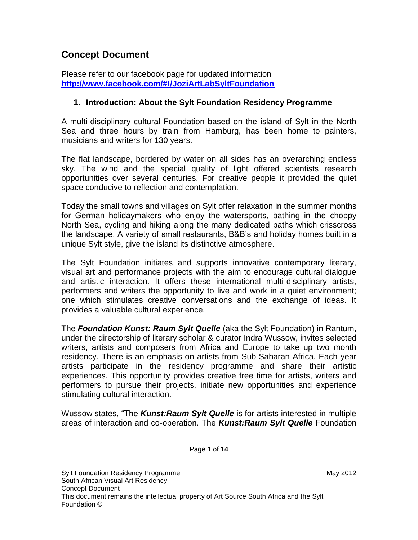# **Concept Document**

Please refer to our facebook page for updated information **<http://www.facebook.com/#!/JoziArtLabSyltFoundation>**

## **1. Introduction: About the Sylt Foundation Residency Programme**

A multi-disciplinary cultural Foundation based on the island of Sylt in the North Sea and three hours by train from Hamburg, has been home to painters, musicians and writers for 130 years.

The flat landscape, bordered by water on all sides has an overarching endless sky. The wind and the special quality of light offered scientists research opportunities over several centuries. For creative people it provided the quiet space conducive to reflection and contemplation.

Today the small towns and villages on Sylt offer relaxation in the summer months for German holidaymakers who enjoy the watersports, bathing in the choppy North Sea, cycling and hiking along the many dedicated paths which crisscross the landscape. A variety of small restaurants, B&B's and holiday homes built in a unique Sylt style, give the island its distinctive atmosphere.

The Sylt Foundation initiates and supports innovative contemporary literary, visual art and performance projects with the aim to encourage cultural dialogue and artistic interaction. It offers these international multi-disciplinary artists, performers and writers the opportunity to live and work in a quiet environment; one which stimulates creative conversations and the exchange of ideas. It provides a valuable cultural experience.

The *Foundation Kunst: Raum Sylt Quelle* (aka the Sylt Foundation) in Rantum, under the directorship of literary scholar & curator Indra Wussow, invites selected writers, artists and composers from Africa and Europe to take up two month residency. There is an emphasis on artists from Sub-Saharan Africa. Each year artists participate in the residency programme and share their artistic experiences. This opportunity provides creative free time for artists, writers and performers to pursue their projects, initiate new opportunities and experience stimulating cultural interaction.

Wussow states, "The *Kunst:Raum Sylt Quelle* is for artists interested in multiple areas of interaction and co-operation. The *Kunst:Raum Sylt Quelle* Foundation

Page **1** of **14**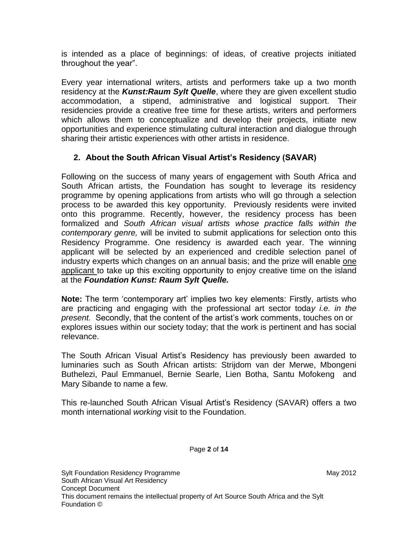is intended as a place of beginnings: of ideas, of creative projects initiated throughout the year".

Every year international writers, artists and performers take up a two month residency at the *Kunst:Raum Sylt Quelle*, where they are given excellent studio accommodation, a stipend, administrative and logistical support. Their residencies provide a creative free time for these artists, writers and performers which allows them to conceptualize and develop their projects, initiate new opportunities and experience stimulating cultural interaction and dialogue through sharing their artistic experiences with other artists in residence.

# **2. About the South African Visual Artist's Residency (SAVAR)**

Following on the success of many years of engagement with South Africa and South African artists, the Foundation has sought to leverage its residency programme by opening applications from artists who will go through a selection process to be awarded this key opportunity. Previously residents were invited onto this programme. Recently, however, the residency process has been formalized and *South African visual artists whose practice falls within the contemporary genre,* will be invited to submit applications for selection onto this Residency Programme. One residency is awarded each year. The winning applicant will be selected by an experienced and credible selection panel of industry experts which changes on an annual basis; and the prize will enable one applicant to take up this exciting opportunity to enjoy creative time on the island at the *Foundation Kunst: Raum Sylt Quelle.*

**Note:** The term 'contemporary art' implies two key elements: Firstly, artists who are practicing and engaging with the professional art sector toda*y i.e. in the present.* Secondly, that the content of the artist's work comments, touches on or explores issues within our society today; that the work is pertinent and has social relevance.

The South African Visual Artist's Residency has previously been awarded to luminaries such as South African artists: Strijdom van der Merwe, Mbongeni Buthelezi, Paul Emmanuel, Bernie Searle, Lien Botha, Santu Mofokeng and Mary Sibande to name a few.

This re-launched South African Visual Artist's Residency (SAVAR) offers a two month international *working* visit to the Foundation.

Page **2** of **14**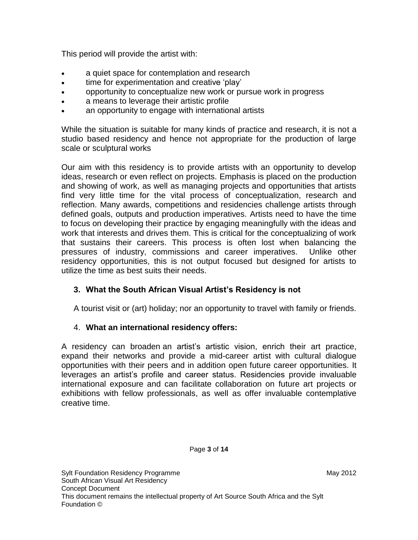This period will provide the artist with:

- a quiet space for contemplation and research
- time for experimentation and creative 'play'
- opportunity to conceptualize new work or pursue work in progress
- a means to leverage their artistic profile
- an opportunity to engage with international artists

While the situation is suitable for many kinds of practice and research, it is not a studio based residency and hence not appropriate for the production of large scale or sculptural works

Our aim with this residency is to provide artists with an opportunity to develop ideas, research or even reflect on projects. Emphasis is placed on the production and showing of work, as well as managing projects and opportunities that artists find very little time for the vital process of conceptualization, research and reflection. Many awards, competitions and residencies challenge artists through defined goals, outputs and production imperatives. Artists need to have the time to focus on developing their practice by engaging meaningfully with the ideas and work that interests and drives them. This is critical for the conceptualizing of work that sustains their careers. This process is often lost when balancing the pressures of industry, commissions and career imperatives. Unlike other residency opportunities, this is not output focused but designed for artists to utilize the time as best suits their needs.

# **3. What the South African Visual Artist's Residency is not**

A tourist visit or (art) holiday; nor an opportunity to travel with family or friends.

## 4. **What an international residency offers:**

A residency can broaden an artist's artistic vision, enrich their art practice, expand their networks and provide a mid-career artist with cultural dialogue opportunities with their peers and in addition open future career opportunities. It leverages an artist's profile and career status. Residencies provide invaluable international exposure and can facilitate collaboration on future art projects or exhibitions with fellow professionals, as well as offer invaluable contemplative creative time.

Page **3** of **14**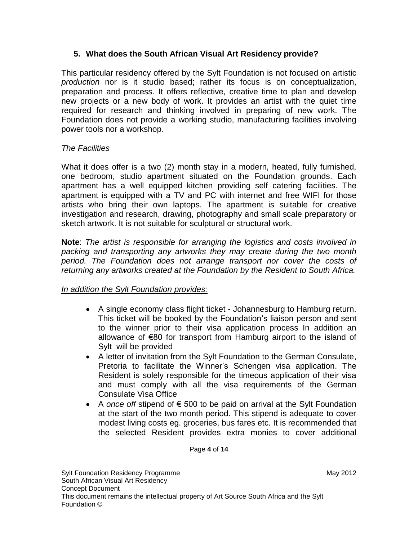# **5. What does the South African Visual Art Residency provide?**

This particular residency offered by the Sylt Foundation is not focused on artistic *production* nor is it studio based; rather its focus is on conceptualization, preparation and process. It offers reflective, creative time to plan and develop new projects or a new body of work. It provides an artist with the quiet time required for research and thinking involved in preparing of new work. The Foundation does not provide a working studio, manufacturing facilities involving power tools nor a workshop.

# *The Facilities*

What it does offer is a two (2) month stay in a modern, heated, fully furnished, one bedroom, studio apartment situated on the Foundation grounds. Each apartment has a well equipped kitchen providing self catering facilities. The apartment is equipped with a TV and PC with internet and free WIFI for those artists who bring their own laptops. The apartment is suitable for creative investigation and research, drawing, photography and small scale preparatory or sketch artwork. It is not suitable for sculptural or structural work.

**Note**: *The artist is responsible for arranging the logistics and costs involved in packing and transporting any artworks they may create during the two month period. The Foundation does not arrange transport nor cover the costs of returning any artworks created at the Foundation by the Resident to South Africa.*

# *In addition the Sylt Foundation provides:*

- A single economy class flight ticket Johannesburg to Hamburg return. This ticket will be booked by the Foundation's liaison person and sent to the winner prior to their visa application process In addition an allowance of €80 for transport from Hamburg airport to the island of Sylt will be provided
- A letter of invitation from the Sylt Foundation to the German Consulate, Pretoria to facilitate the Winner's Schengen visa application. The Resident is solely responsible for the timeous application of their visa and must comply with all the visa requirements of the German Consulate Visa Office
- A *once off* stipend of € 500 to be paid on arrival at the Sylt Foundation at the start of the two month period. This stipend is adequate to cover modest living costs eg. groceries, bus fares etc. It is recommended that the selected Resident provides extra monies to cover additional

Page **4** of **14**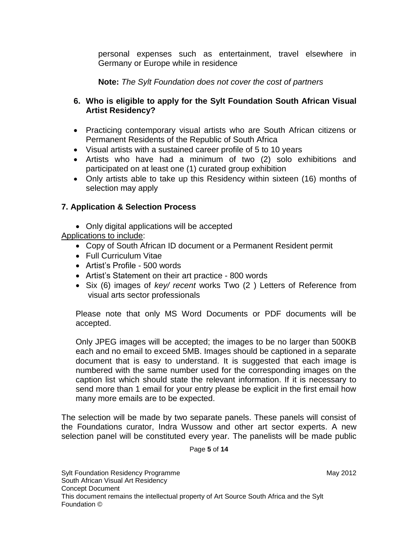personal expenses such as entertainment, travel elsewhere in Germany or Europe while in residence

**Note:** *The Sylt Foundation does not cover the cost of partners* 

## **6. Who is eligible to apply for the Sylt Foundation South African Visual Artist Residency?**

- Practicing contemporary visual artists who are South African citizens or Permanent Residents of the Republic of South Africa
- Visual artists with a sustained career profile of 5 to 10 years
- Artists who have had a minimum of two (2) solo exhibitions and participated on at least one (1) curated group exhibition
- Only artists able to take up this Residency within sixteen (16) months of selection may apply

# **7. Application & Selection Process**

• Only digital applications will be accepted

Applications to include:

- Copy of South African ID document or a Permanent Resident permit
- Full Curriculum Vitae
- Artist's Profile 500 words
- Artist's Statement on their art practice 800 words
- Six (6) images of *key/ recent* works Two (2 ) Letters of Reference from visual arts sector professionals

Please note that only MS Word Documents or PDF documents will be accepted.

Only JPEG images will be accepted; the images to be no larger than 500KB each and no email to exceed 5MB. Images should be captioned in a separate document that is easy to understand. It is suggested that each image is numbered with the same number used for the corresponding images on the caption list which should state the relevant information. If it is necessary to send more than 1 email for your entry please be explicit in the first email how many more emails are to be expected.

The selection will be made by two separate panels. These panels will consist of the Foundations curator, Indra Wussow and other art sector experts. A new selection panel will be constituted every year. The panelists will be made public

Page **5** of **14**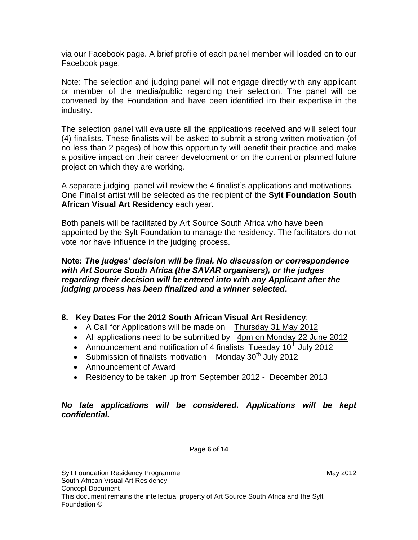via our Facebook page. A brief profile of each panel member will loaded on to our Facebook page.

Note: The selection and judging panel will not engage directly with any applicant or member of the media/public regarding their selection. The panel will be convened by the Foundation and have been identified iro their expertise in the industry.

The selection panel will evaluate all the applications received and will select four (4) finalists. These finalists will be asked to submit a strong written motivation (of no less than 2 pages) of how this opportunity will benefit their practice and make a positive impact on their career development or on the current or planned future project on which they are working.

A separate judging panel will review the 4 finalist's applications and motivations. One Finalist artist will be selected as the recipient of the **Sylt Foundation South African Visual Art Residency** each year**.** 

Both panels will be facilitated by Art Source South Africa who have been appointed by the Sylt Foundation to manage the residency. The facilitators do not vote nor have influence in the judging process.

#### **Note:** *The judges' decision will be final. No discussion or correspondence with Art Source South Africa (the SAVAR organisers), or the judges regarding their decision will be entered into with any Applicant after the judging process has been finalized and a winner selected***.**

## **8. Key Dates For the 2012 South African Visual Art Residency**:

- A Call for Applications will be made on Thursday 31 May 2012
- All applications need to be submitted by 4pm on Monday 22 June 2012
- Announcement and notification of 4 finalists Tuesday  $10<sup>th</sup>$  July 2012
- Submission of finalists motivation Monday  $30<sup>th</sup>$  July 2012
- Announcement of Award
- Residency to be taken up from September 2012 December 2013

#### *No late applications will be considered. Applications will be kept confidential.*

Page **6** of **14**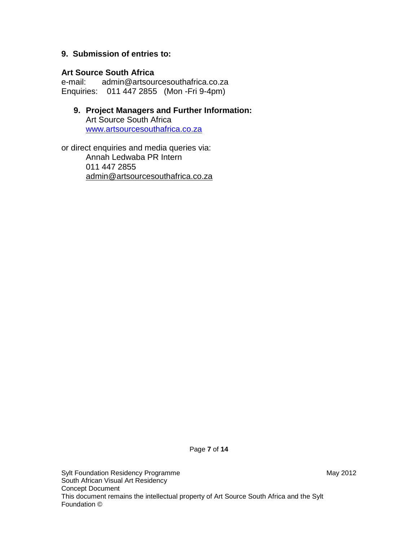### **9. Submission of entries to:**

#### **Art Source South Africa**

e-mail: admin@artsourcesouthafrica.co.za Enquiries: 011 447 2855 (Mon -Fri 9-4pm)

## **9. Project Managers and Further Information:** Art Source South Africa [www.artsourcesouthafrica.co.za](http://www.artsourcesouthafrica.co.za/)

or direct enquiries and media queries via: Annah Ledwaba PR Intern 011 447 2855 admin@artsourcesouthafrica.co.za

Page **7** of **14**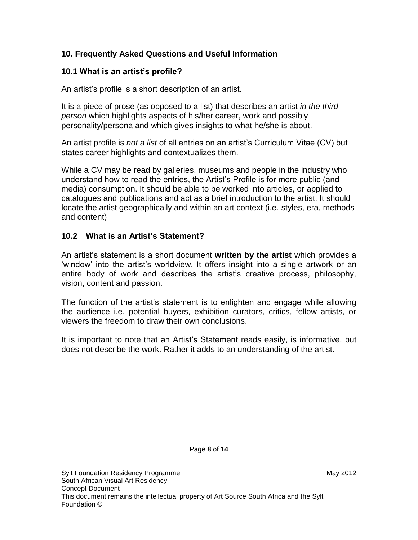# **10. Frequently Asked Questions and Useful Information**

# **10.1 What is an artist's profile?**

An artist's profile is a short description of an artist.

It is a piece of prose (as opposed to a list) that describes an artist *in the third person* which highlights aspects of his/her career, work and possibly personality/persona and which gives insights to what he/she is about.

An artist profile is *not a list* of all entries on an artist's Curriculum Vitae (CV) but states career highlights and contextualizes them.

While a CV may be read by galleries, museums and people in the industry who understand how to read the entries, the Artist's Profile is for more public (and media) consumption. It should be able to be worked into articles, or applied to catalogues and publications and act as a brief introduction to the artist. It should locate the artist geographically and within an art context (i.e. styles, era, methods and content)

# **10.2 What is an Artist's Statement?**

An artist's statement is a short document **written by the artist** which provides a 'window' into the artist's worldview. It offers insight into a single artwork or an entire body of work and describes the artist's creative process, philosophy, vision, content and passion.

The function of the artist's statement is to enlighten and engage while allowing the audience i.e. potential buyers, exhibition curators, critics, fellow artists, or viewers the freedom to draw their own conclusions.

It is important to note that an Artist's Statement reads easily, is informative, but does not describe the work. Rather it adds to an understanding of the artist.

Page **8** of **14**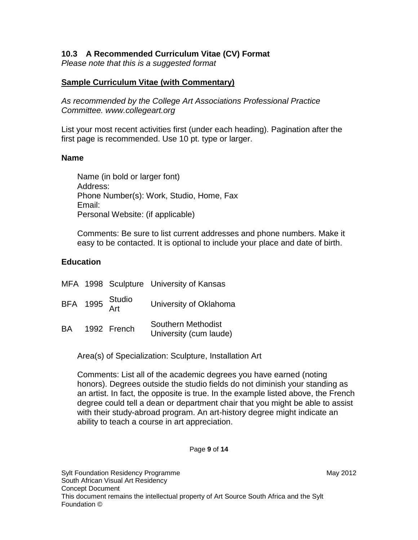## **10.3 A Recommended Curriculum Vitae (CV) Format**

*Please note that this is a suggested format* 

#### **Sample Curriculum Vitae (with Commentary)**

*As recommended by the College Art Associations Professional Practice Committee. www.collegeart.org*

List your most recent activities first (under each heading). Pagination after the first page is recommended. Use 10 pt. type or larger.

#### **Name**

Name (in bold or larger font) Address: Phone Number(s): Work, Studio, Home, Fax Email: Personal Website: (if applicable)

Comments: Be sure to list current addresses and phone numbers. Make it easy to be contacted. It is optional to include your place and date of birth.

#### **Education**

|           |                 | MFA 1998 Sculpture University of Kansas      |
|-----------|-----------------|----------------------------------------------|
|           | BFA 1995 Studio | University of Oklahoma                       |
| <b>BA</b> | 1992 French     | Southern Methodist<br>University (cum laude) |

Area(s) of Specialization: Sculpture, Installation Art

Comments: List all of the academic degrees you have earned (noting honors). Degrees outside the studio fields do not diminish your standing as an artist. In fact, the opposite is true. In the example listed above, the French degree could tell a dean or department chair that you might be able to assist with their study-abroad program. An art-history degree might indicate an ability to teach a course in art appreciation.

Page **9** of **14**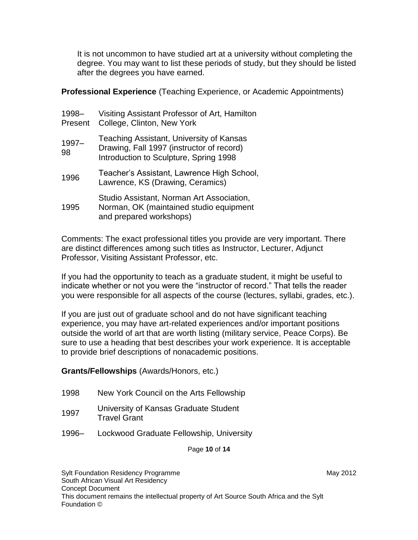It is not uncommon to have studied art at a university without completing the degree. You may want to list these periods of study, but they should be listed after the degrees you have earned.

**Professional Experience** (Teaching Experience, or Academic Appointments)

| 1998-<br>Present | Visiting Assistant Professor of Art, Hamilton<br>College, Clinton, New York                                                     |
|------------------|---------------------------------------------------------------------------------------------------------------------------------|
| $1997 -$<br>98   | Teaching Assistant, University of Kansas<br>Drawing, Fall 1997 (instructor of record)<br>Introduction to Sculpture, Spring 1998 |
| 1996             | Teacher's Assistant, Lawrence High School,<br>Lawrence, KS (Drawing, Ceramics)                                                  |
| 1995             | Studio Assistant, Norman Art Association,<br>Norman, OK (maintained studio equipment<br>and prepared workshops)                 |

Comments: The exact professional titles you provide are very important. There are distinct differences among such titles as Instructor, Lecturer, Adjunct Professor, Visiting Assistant Professor, etc.

If you had the opportunity to teach as a graduate student, it might be useful to indicate whether or not you were the "instructor of record." That tells the reader you were responsible for all aspects of the course (lectures, syllabi, grades, etc.).

If you are just out of graduate school and do not have significant teaching experience, you may have art-related experiences and/or important positions outside the world of art that are worth listing (military service, Peace Corps). Be sure to use a heading that best describes your work experience. It is acceptable to provide brief descriptions of nonacademic positions.

## **Grants/Fellowships** (Awards/Honors, etc.)

- 1998 New York Council on the Arts Fellowship
- 1997 University of Kansas Graduate Student Travel Grant
- 1996– Lockwood Graduate Fellowship, University

Page **10** of **14**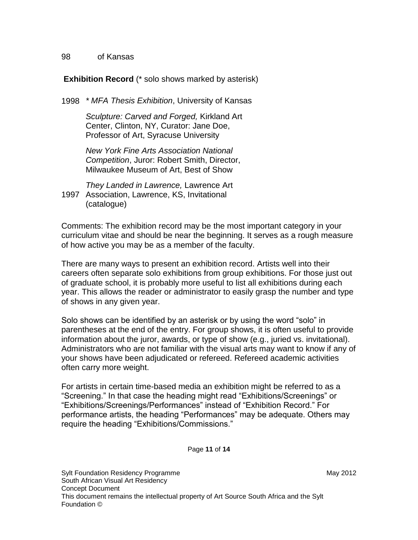#### 98 of Kansas

### **Exhibition Record** (\* solo shows marked by asterisk)

1998 *\* MFA Thesis Exhibition*, University of Kansas

*Sculpture: Carved and Forged,* Kirkland Art Center, Clinton, NY, Curator: Jane Doe, Professor of Art, Syracuse University

*New York Fine Arts Association National Competition*, Juror: Robert Smith, Director, Milwaukee Museum of Art, Best of Show

1997 Association, Lawrence, KS, Invitational *They Landed in Lawrence,* Lawrence Art (catalogue)

Comments: The exhibition record may be the most important category in your curriculum vitae and should be near the beginning. It serves as a rough measure of how active you may be as a member of the faculty.

There are many ways to present an exhibition record. Artists well into their careers often separate solo exhibitions from group exhibitions. For those just out of graduate school, it is probably more useful to list all exhibitions during each year. This allows the reader or administrator to easily grasp the number and type of shows in any given year.

Solo shows can be identified by an asterisk or by using the word "solo" in parentheses at the end of the entry. For group shows, it is often useful to provide information about the juror, awards, or type of show (e.g., juried vs. invitational). Administrators who are not familiar with the visual arts may want to know if any of your shows have been adjudicated or refereed. Refereed academic activities often carry more weight.

For artists in certain time-based media an exhibition might be referred to as a "Screening." In that case the heading might read "Exhibitions/Screenings" or "Exhibitions/Screenings/Performances" instead of "Exhibition Record." For performance artists, the heading "Performances" may be adequate. Others may require the heading "Exhibitions/Commissions."

Page **11** of **14**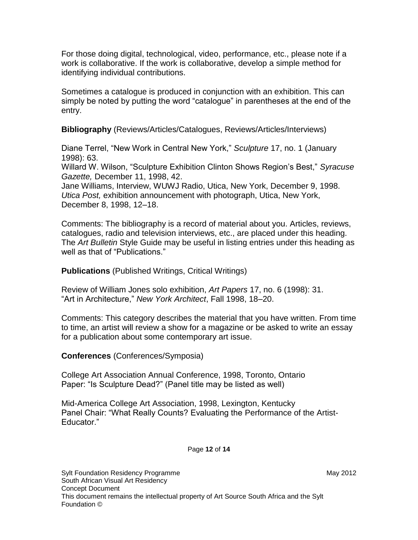For those doing digital, technological, video, performance, etc., please note if a work is collaborative. If the work is collaborative, develop a simple method for identifying individual contributions.

Sometimes a catalogue is produced in conjunction with an exhibition. This can simply be noted by putting the word "catalogue" in parentheses at the end of the entry.

**Bibliography** (Reviews/Articles/Catalogues, Reviews/Articles/Interviews)

Diane Terrel, "New Work in Central New York," *Sculpture* 17, no. 1 (January 1998): 63.

Willard W. Wilson, "Sculpture Exhibition Clinton Shows Region's Best," *Syracuse Gazette,* December 11, 1998, 42.

Jane Williams, Interview, WUWJ Radio, Utica, New York, December 9, 1998. *Utica Post,* exhibition announcement with photograph, Utica, New York, December 8, 1998, 12–18.

Comments: The bibliography is a record of material about you. Articles, reviews, catalogues, radio and television interviews, etc., are placed under this heading. The *Art Bulletin* Style Guide may be useful in listing entries under this heading as well as that of "Publications."

**Publications** (Published Writings, Critical Writings)

Review of William Jones solo exhibition, *Art Papers* 17, no. 6 (1998): 31. "Art in Architecture," *New York Architect*, Fall 1998, 18–20.

Comments: This category describes the material that you have written. From time to time, an artist will review a show for a magazine or be asked to write an essay for a publication about some contemporary art issue.

**Conferences** (Conferences/Symposia)

College Art Association Annual Conference, 1998, Toronto, Ontario Paper: "Is Sculpture Dead?" (Panel title may be listed as well)

Mid-America College Art Association, 1998, Lexington, Kentucky Panel Chair: "What Really Counts? Evaluating the Performance of the Artist-Educator."

Page **12** of **14**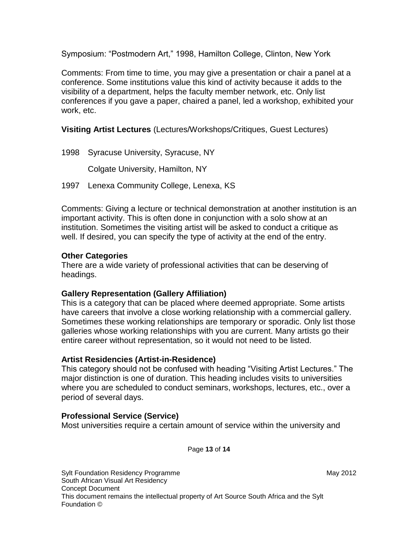Symposium: "Postmodern Art," 1998, Hamilton College, Clinton, New York

Comments: From time to time, you may give a presentation or chair a panel at a conference. Some institutions value this kind of activity because it adds to the visibility of a department, helps the faculty member network, etc. Only list conferences if you gave a paper, chaired a panel, led a workshop, exhibited your work, etc.

**Visiting Artist Lectures** (Lectures/Workshops/Critiques, Guest Lectures)

1998 Syracuse University, Syracuse, NY Colgate University, Hamilton, NY

1997 Lenexa Community College, Lenexa, KS

Comments: Giving a lecture or technical demonstration at another institution is an important activity. This is often done in conjunction with a solo show at an institution. Sometimes the visiting artist will be asked to conduct a critique as well. If desired, you can specify the type of activity at the end of the entry.

### **Other Categories**

There are a wide variety of professional activities that can be deserving of headings.

## **Gallery Representation (Gallery Affiliation)**

This is a category that can be placed where deemed appropriate. Some artists have careers that involve a close working relationship with a commercial gallery. Sometimes these working relationships are temporary or sporadic. Only list those galleries whose working relationships with you are current. Many artists go their entire career without representation, so it would not need to be listed.

#### **Artist Residencies (Artist-in-Residence)**

This category should not be confused with heading "Visiting Artist Lectures." The major distinction is one of duration. This heading includes visits to universities where you are scheduled to conduct seminars, workshops, lectures, etc., over a period of several days.

## **Professional Service (Service)**

Most universities require a certain amount of service within the university and

Page **13** of **14**